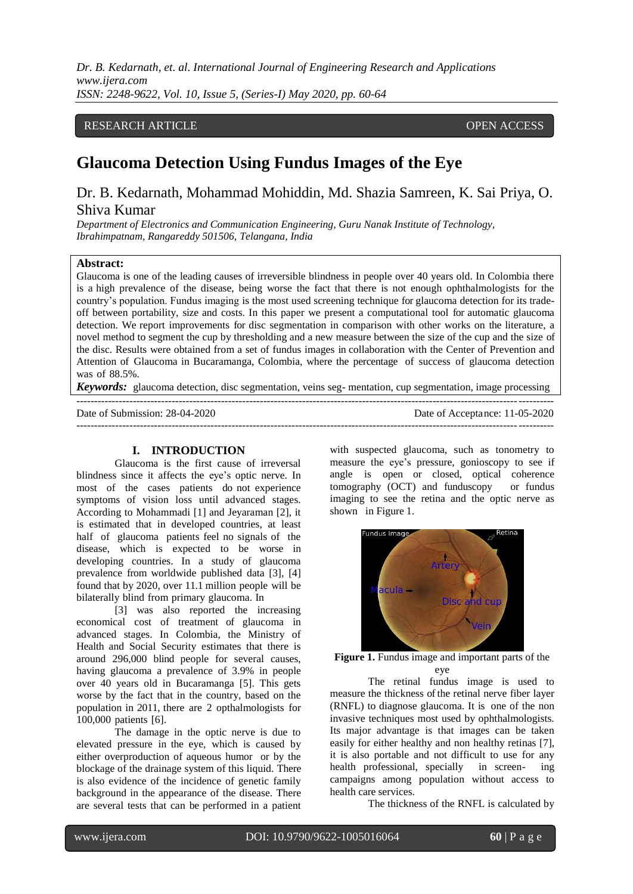*Dr. B. Kedarnath, et. al. International Journal of Engineering Research and Applications www.ijera.com ISSN: 2248-9622, Vol. 10, Issue 5, (Series-I) May 2020, pp. 60-64*

## RESEARCH ARTICLE **CONSERVERS** OPEN ACCESS

# **Glaucoma Detection Using Fundus Images of the Eye**

Dr. B. Kedarnath, Mohammad Mohiddin, Md. Shazia Samreen, K. Sai Priya, O. Shiva Kumar

*Department of Electronics and Communication Engineering, Guru Nanak Institute of Technology, Ibrahimpatnam, Rangareddy 501506, Telangana, India*

## **Abstract:**

Glaucoma is one of the leading causes of irreversible blindness in people over 40 years old. In Colombia there is a high prevalence of the disease, being worse the fact that there is not enough ophthalmologists for the country's population. Fundus imaging is the most used screening technique for glaucoma detection for its tradeoff between portability, size and costs. In this paper we present a computational tool for automatic glaucoma detection. We report improvements for disc segmentation in comparison with other works on the literature, a novel method to segment the cup by thresholding and a new measure between the size of the cup and the size of the disc. Results were obtained from a set of fundus images in collaboration with the Center of Prevention and Attention of Glaucoma in Bucaramanga, Colombia, where the percentage of success of glaucoma detection was of 88.5%.

*Keywords:* glaucoma detection, disc segmentation, veins seg- mentation, cup segmentation, image processing ---------------------------------------------------------------------------------------------------------------------------------------

---------------------------------------------------------------------------------------------------------------------------------------

Date of Submission: 28-04-2020 Date of Acceptance: 11-05-2020

#### **I. INTRODUCTION**

Glaucoma is the first cause of irreversal blindness since it affects the eye's optic nerve. In most of the cases patients do not experience symptoms of vision loss until advanced stages. According to Mohammadi [1] and Jeyaraman [2], it is estimated that in developed countries, at least half of glaucoma patients feel no signals of the disease, which is expected to be worse in developing countries. In a study of glaucoma prevalence from worldwide published data [3], [4] found that by 2020, over 11.1 million people will be bilaterally blind from primary glaucoma. In

[3] was also reported the increasing economical cost of treatment of glaucoma in advanced stages. In Colombia, the Ministry of Health and Social Security estimates that there is around 296,000 blind people for several causes, having glaucoma a prevalence of 3.9% in people over 40 years old in Bucaramanga [5]. This gets worse by the fact that in the country, based on the population in 2011, there are 2 opthalmologists for 100,000 patients [6].

The damage in the optic nerve is due to elevated pressure in the eye, which is caused by either overproduction of aqueous humor or by the blockage of the drainage system of this liquid. There is also evidence of the incidence of genetic family background in the appearance of the disease. There are several tests that can be performed in a patient with suspected glaucoma, such as tonometry to measure the eye's pressure, gonioscopy to see if angle is open or closed, optical coherence tomography (OCT) and funduscopy or fundus imaging to see the retina and the optic nerve as shown in Figure 1.



**Figure 1.** Fundus image and important parts of the eye

The retinal fundus image is used to measure the thickness of the retinal nerve fiber layer (RNFL) to diagnose glaucoma. It is one of the non invasive techniques most used by ophthalmologists. Its major advantage is that images can be taken easily for either healthy and non healthy retinas [7], it is also portable and not difficult to use for any health professional, specially in screen- ing campaigns among population without access to health care services.

The thickness of the RNFL is calculated by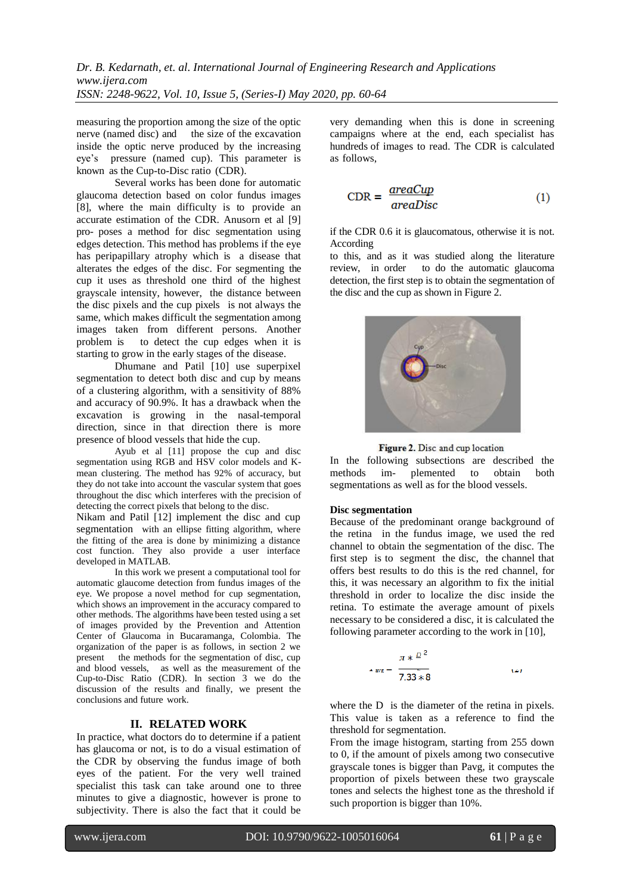measuring the proportion among the size of the optic nerve (named disc) and the size of the excavation inside the optic nerve produced by the increasing eye's pressure (named cup). This parameter is known as the Cup-to-Disc ratio (CDR).

Several works has been done for automatic glaucoma detection based on color fundus images [8], where the main difficulty is to provide an accurate estimation of the CDR. Anusorn et al [9] pro- poses a method for disc segmentation using edges detection. This method has problems if the eye has peripapillary atrophy which is a disease that alterates the edges of the disc. For segmenting the cup it uses as threshold one third of the highest grayscale intensity, however, the distance between the disc pixels and the cup pixels is not always the same, which makes difficult the segmentation among images taken from different persons. Another problem is to detect the cup edges when it is starting to grow in the early stages of the disease.

Dhumane and Patil [10] use superpixel segmentation to detect both disc and cup by means of a clustering algorithm, with a sensitivity of 88% and accuracy of 90.9%. It has a drawback when the excavation is growing in the nasal-temporal direction, since in that direction there is more presence of blood vessels that hide the cup.

Ayub et al [11] propose the cup and disc segmentation using RGB and HSV color models and Kmean clustering. The method has 92% of accuracy, but they do not take into account the vascular system that goes throughout the disc which interferes with the precision of detecting the correct pixels that belong to the disc.

Nikam and Patil [12] implement the disc and cup segmentation with an ellipse fitting algorithm, where the fitting of the area is done by minimizing a distance cost function. They also provide a user interface developed in MATLAB.

In this work we present a computational tool for automatic glaucome detection from fundus images of the eye. We propose a novel method for cup segmentation, which shows an improvement in the accuracy compared to other methods. The algorithms have been tested using a set of images provided by the Prevention and Attention Center of Glaucoma in Bucaramanga, Colombia. The organization of the paper is as follows, in section 2 we present the methods for the segmentation of disc, cup and blood vessels, as well as the measurement of the Cup-to-Disc Ratio (CDR). In section 3 we do the discussion of the results and finally, we present the conclusions and future work.

## **II. RELATED WORK**

In practice, what doctors do to determine if a patient has glaucoma or not, is to do a visual estimation of the CDR by observing the fundus image of both eyes of the patient. For the very well trained specialist this task can take around one to three minutes to give a diagnostic, however is prone to subjectivity. There is also the fact that it could be very demanding when this is done in screening campaigns where at the end, each specialist has hundreds of images to read. The CDR is calculated as follows,

$$
CDR = \frac{areaCup}{areaDisc} \tag{1}
$$

if the CDR 0.6 it is glaucomatous, otherwise it is not. According

to this, and as it was studied along the literature review, in order to do the automatic glaucoma detection, the first step is to obtain the segmentation of the disc and the cup as shown in Figure 2.



Figure 2. Disc and cup location

In the following subsections are described the methods im- plemented to obtain both segmentations as well as for the blood vessels.

## **Disc segmentation**

Because of the predominant orange background of the retina in the fundus image, we used the red channel to obtain the segmentation of the disc. The first step is to segment the disc, the channel that offers best results to do this is the red channel, for this, it was necessary an algorithm to fix the initial threshold in order to localize the disc inside the retina. To estimate the average amount of pixels necessary to be considered a disc, it is calculated the following parameter according to the work in [10],

$$
4 \arg \frac{\pi * \frac{D^2}{2}}{7.33 * 8}
$$
 (2)

where the D is the diameter of the retina in pixels. This value is taken as a reference to find the threshold for segmentation.

From the image histogram, starting from 255 down to 0, if the amount of pixels among two consecutive grayscale tones is bigger than Pavg, it computes the proportion of pixels between these two grayscale tones and selects the highest tone as the threshold if such proportion is bigger than 10%.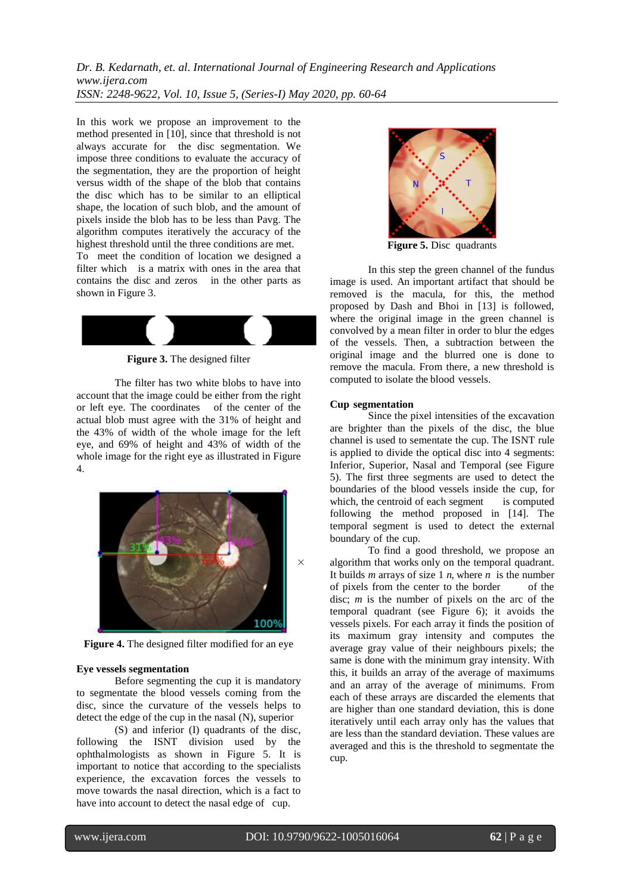*Dr. B. Kedarnath, et. al. International Journal of Engineering Research and Applications www.ijera.com ISSN: 2248-9622, Vol. 10, Issue 5, (Series-I) May 2020, pp. 60-64*

In this work we propose an improvement to the method presented in [10], since that threshold is not always accurate for the disc segmentation. We impose three conditions to evaluate the accuracy of the segmentation, they are the proportion of height versus width of the shape of the blob that contains the disc which has to be similar to an elliptical shape, the location of such blob, and the amount of pixels inside the blob has to be less than Pavg. The algorithm computes iteratively the accuracy of the highest threshold until the three conditions are met.

To meet the condition of location we designed a filter which is a matrix with ones in the area that contains the disc and zeros in the other parts as shown in Figure 3.



**Figure 3.** The designed filter

The filter has two white blobs to have into account that the image could be either from the right or left eye. The coordinates of the center of the actual blob must agree with the 31% of height and the 43% of width of the whole image for the left eye, and 69% of height and 43% of width of the whole image for the right eye as illustrated in Figure 4.



**Figure 4.** The designed filter modified for an eye

#### **Eye vessels segmentation**

Before segmenting the cup it is mandatory to segmentate the blood vessels coming from the disc, since the curvature of the vessels helps to detect the edge of the cup in the nasal (N), superior

(S) and inferior (I) quadrants of the disc, following the ISNT division used by the ophthalmologists as shown in Figure 5. It is important to notice that according to the specialists experience, the excavation forces the vessels to move towards the nasal direction, which is a fact to have into account to detect the nasal edge of cup.



**Figure 5.** Disc quadrants

In this step the green channel of the fundus image is used. An important artifact that should be removed is the macula, for this, the method proposed by Dash and Bhoi in [13] is followed, where the original image in the green channel is convolved by a mean filter in order to blur the edges of the vessels. Then, a subtraction between the original image and the blurred one is done to remove the macula. From there, a new threshold is computed to isolate the blood vessels.

#### **Cup segmentation**

Since the pixel intensities of the excavation are brighter than the pixels of the disc, the blue channel is used to sementate the cup. The ISNT rule is applied to divide the optical disc into 4 segments: Inferior, Superior, Nasal and Temporal (see Figure 5). The first three segments are used to detect the boundaries of the blood vessels inside the cup, for which, the centroid of each segment is computed following the method proposed in [14]. The temporal segment is used to detect the external boundary of the cup.

To find a good threshold, we propose an algorithm that works only on the temporal quadrant. It builds *m* arrays of size 1 *n*, where *n* is the number of pixels from the center to the border of the disc; *m* is the number of pixels on the arc of the temporal quadrant (see Figure 6); it avoids the vessels pixels. For each array it finds the position of its maximum gray intensity and computes the average gray value of their neighbours pixels; the same is done with the minimum gray intensity. With this, it builds an array of the average of maximums and an array of the average of minimums. From each of these arrays are discarded the elements that are higher than one standard deviation, this is done iteratively until each array only has the values that are less than the standard deviation. These values are averaged and this is the threshold to segmentate the cup.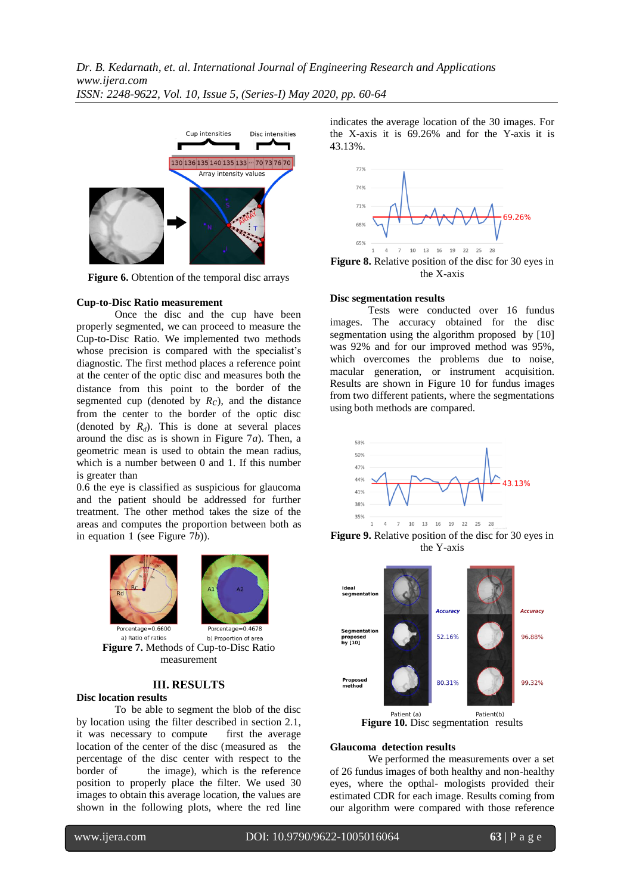

**Figure 6.** Obtention of the temporal disc arrays

#### **Cup-to-Disc Ratio measurement**

Once the disc and the cup have been properly segmented, we can proceed to measure the Cup-to-Disc Ratio. We implemented two methods whose precision is compared with the specialist's diagnostic. The first method places a reference point at the center of the optic disc and measures both the distance from this point to the border of the segmented cup (denoted by *Rc*), and the distance from the center to the border of the optic disc (denoted by  $R_d$ ). This is done at several places around the disc as is shown in Figure 7*a*). Then, a geometric mean is used to obtain the mean radius, which is a number between 0 and 1. If this number is greater than

0.6 the eye is classified as suspicious for glaucoma and the patient should be addressed for further treatment. The other method takes the size of the areas and computes the proportion between both as in equation 1 (see Figure 7*b*)).





a) Ratio of ratios b) Proportion of area **Figure 7.** Methods of Cup-to-Disc Ratio measurement

## **III. RESULTS**

## **Disc location results**

To be able to segment the blob of the disc by location using the filter described in section 2.1, it was necessary to compute first the average location of the center of the disc (measured as the percentage of the disc center with respect to the border of the image), which is the reference position to properly place the filter. We used 30 images to obtain this average location, the values are shown in the following plots, where the red line

indicates the average location of the 30 images. For the X-axis it is 69.26% and for the Y-axis it is 43.13%.



the X-axis

#### **Disc segmentation results**

Tests were conducted over 16 fundus images. The accuracy obtained for the disc segmentation using the algorithm proposed by [10] was 92% and for our improved method was 95%, which overcomes the problems due to noise, macular generation, or instrument acquisition. Results are shown in Figure 10 for fundus images from two different patients, where the segmentations using both methods are compared.



**Figure 9.** Relative position of the disc for 30 eyes in the Y-axis



**Figure 10.** Disc segmentation results

#### **Glaucoma detection results**

We performed the measurements over a set of 26 fundus images of both healthy and non-healthy eyes, where the opthal- mologists provided their estimated CDR for each image. Results coming from our algorithm were compared with those reference